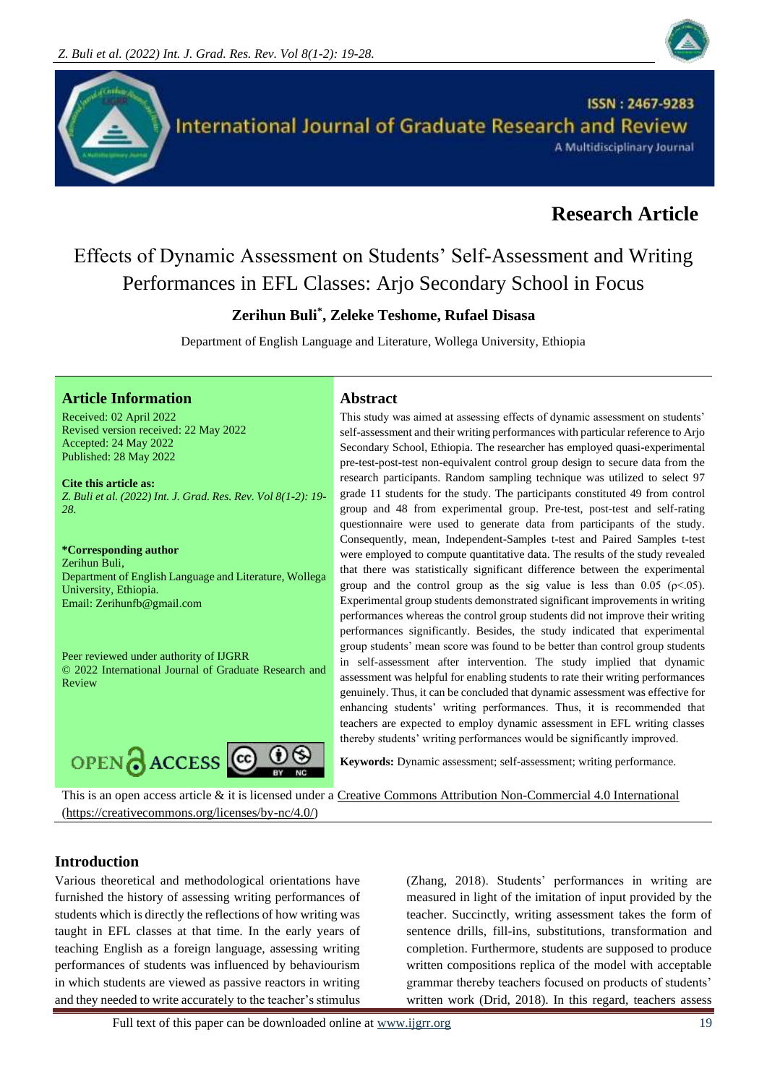



# **Research Article**

# Effects of Dynamic Assessment on Students' Self-Assessment and Writing Performances in EFL Classes: Arjo Secondary School in Focus

# **Zerihun Buli\* , Zeleke Teshome, Rufael Disasa**

Department of English Language and Literature, Wollega University, Ethiopia

### **Article Information Abstract**

Received: 02 April 2022 Revised version received: 22 May 2022 Accepted: 24 May 2022 Published: 28 May 2022

**Cite this article as:** *Z. Buli et al. (2022) Int. J. Grad. Res. Rev. Vol 8(1-2): 19- 28.*

**\*Corresponding author** Zerihun Buli, Department of English Language and Literature, Wollega University, Ethiopia. Email: Zerihunfb@gmail.com

Peer reviewed under authority of IJGRR © 2022 International Journal of Graduate Research and Review



This study was aimed at assessing effects of dynamic assessment on students' self-assessment and their writing performances with particular reference to Arjo Secondary School, Ethiopia. The researcher has employed quasi-experimental pre-test-post-test non-equivalent control group design to secure data from the research participants. Random sampling technique was utilized to select 97 grade 11 students for the study. The participants constituted 49 from control group and 48 from experimental group. Pre-test, post-test and self-rating questionnaire were used to generate data from participants of the study. Consequently, mean, Independent-Samples t-test and Paired Samples t-test were employed to compute quantitative data. The results of the study revealed that there was statistically significant difference between the experimental group and the control group as the sig value is less than 0.05 ( $\rho$  < 0.05). Experimental group students demonstrated significant improvements in writing performances whereas the control group students did not improve their writing performances significantly. Besides, the study indicated that experimental group students' mean score was found to be better than control group students in self-assessment after intervention. The study implied that dynamic assessment was helpful for enabling students to rate their writing performances genuinely. Thus, it can be concluded that dynamic assessment was effective for enhancing students' writing performances. Thus, it is recommended that teachers are expected to employ dynamic assessment in EFL writing classes thereby students' writing performances would be significantly improved.

**Keywords:** Dynamic assessment; self-assessment; writing performance.

This is an open access article & it is licensed under a [Creative Commons Attribution Non-Commercial 4.0 International](https://creativecommons.org/licenses/by-nc/4.0/) [\(https://creativecommons.org/licenses/by-nc/4.0/\)](https://creativecommons.org/licenses/by-nc/4.0/)

# **Introduction**

Various theoretical and methodological orientations have furnished the history of assessing writing performances of students which is directly the reflections of how writing was taught in EFL classes at that time. In the early years of teaching English as a foreign language, assessing writing performances of students was influenced by behaviourism in which students are viewed as passive reactors in writing and they needed to write accurately to the teacher's stimulus

(Zhang, 2018). Students' performances in writing are measured in light of the imitation of input provided by the teacher. Succinctly, writing assessment takes the form of sentence drills, fill-ins, substitutions, transformation and completion. Furthermore, students are supposed to produce written compositions replica of the model with acceptable grammar thereby teachers focused on products of students' written work (Drid, 2018). In this regard, teachers assess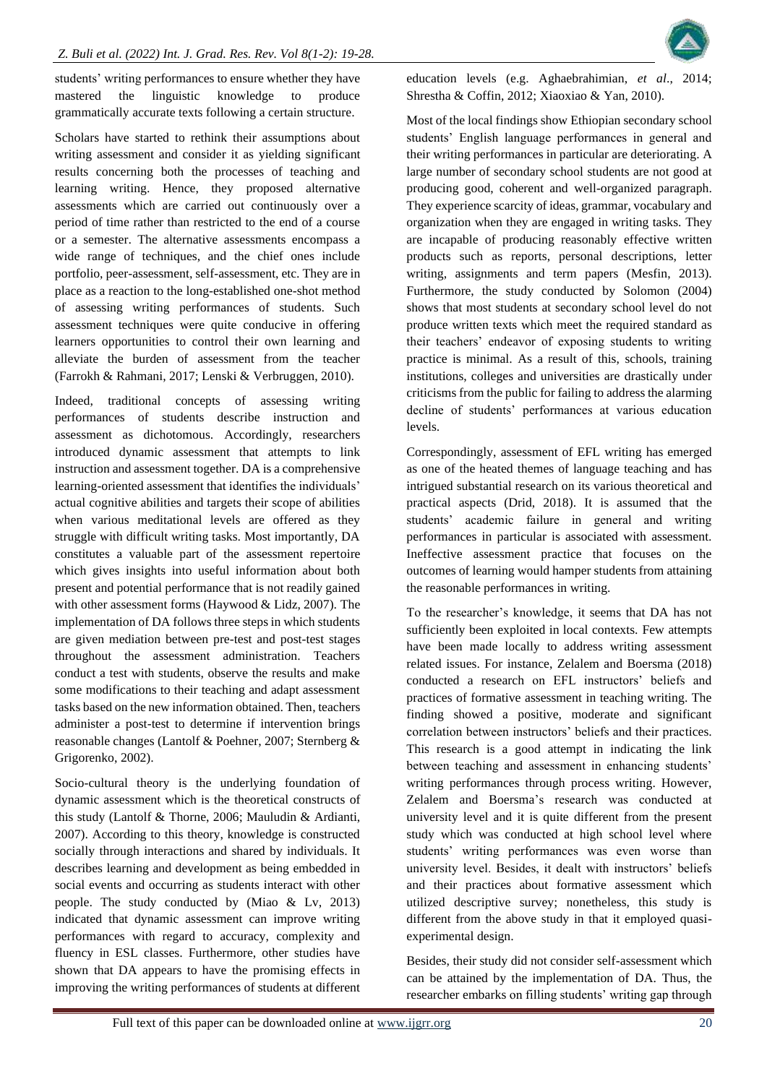students' writing performances to ensure whether they have mastered the linguistic knowledge to produce grammatically accurate texts following a certain structure.

Scholars have started to rethink their assumptions about writing assessment and consider it as yielding significant results concerning both the processes of teaching and learning writing. Hence, they proposed alternative assessments which are carried out continuously over a period of time rather than restricted to the end of a course or a semester. The alternative assessments encompass a wide range of techniques, and the chief ones include portfolio, peer-assessment, self-assessment, etc. They are in place as a reaction to the long-established one-shot method of assessing writing performances of students. Such assessment techniques were quite conducive in offering learners opportunities to control their own learning and alleviate the burden of assessment from the teacher (Farrokh & Rahmani, 2017; Lenski & Verbruggen, 2010).

Indeed, traditional concepts of assessing writing performances of students describe instruction and assessment as dichotomous. Accordingly, researchers introduced dynamic assessment that attempts to link instruction and assessment together. DA is a comprehensive learning-oriented assessment that identifies the individuals' actual cognitive abilities and targets their scope of abilities when various meditational levels are offered as they struggle with difficult writing tasks. Most importantly, DA constitutes a valuable part of the assessment repertoire which gives insights into useful information about both present and potential performance that is not readily gained with other assessment forms (Haywood & Lidz, 2007). The implementation of DA follows three steps in which students are given mediation between pre-test and post-test stages throughout the assessment administration. Teachers conduct a test with students, observe the results and make some modifications to their teaching and adapt assessment tasks based on the new information obtained. Then, teachers administer a post-test to determine if intervention brings reasonable changes (Lantolf & Poehner, 2007; Sternberg & Grigorenko, 2002).

Socio-cultural theory is the underlying foundation of dynamic assessment which is the theoretical constructs of this study (Lantolf & Thorne, 2006; Mauludin & Ardianti, 2007). According to this theory, knowledge is constructed socially through interactions and shared by individuals. It describes learning and development as being embedded in social events and occurring as students interact with other people. The study conducted by (Miao & Lv, 2013) indicated that dynamic assessment can improve writing performances with regard to accuracy, complexity and fluency in ESL classes. Furthermore, other studies have shown that DA appears to have the promising effects in improving the writing performances of students at different

education levels (e.g. Aghaebrahimian, *et al*., 2014; Shrestha & Coffin, 2012; Xiaoxiao & Yan, 2010).

Most of the local findings show Ethiopian secondary school students' English language performances in general and their writing performances in particular are deteriorating. A large number of secondary school students are not good at producing good, coherent and well-organized paragraph. They experience scarcity of ideas, grammar, vocabulary and organization when they are engaged in writing tasks. They are incapable of producing reasonably effective written products such as reports, personal descriptions, letter writing, assignments and term papers (Mesfin, 2013). Furthermore, the study conducted by Solomon (2004) shows that most students at secondary school level do not produce written texts which meet the required standard as their teachers' endeavor of exposing students to writing practice is minimal. As a result of this, schools, training institutions, colleges and universities are drastically under criticisms from the public for failing to address the alarming decline of students' performances at various education levels.

Correspondingly, assessment of EFL writing has emerged as one of the heated themes of language teaching and has intrigued substantial research on its various theoretical and practical aspects (Drid, 2018). It is assumed that the students' academic failure in general and writing performances in particular is associated with assessment. Ineffective assessment practice that focuses on the outcomes of learning would hamper students from attaining the reasonable performances in writing.

To the researcher's knowledge, it seems that DA has not sufficiently been exploited in local contexts. Few attempts have been made locally to address writing assessment related issues. For instance, Zelalem and Boersma (2018) conducted a research on EFL instructors' beliefs and practices of formative assessment in teaching writing. The finding showed a positive, moderate and significant correlation between instructors' beliefs and their practices. This research is a good attempt in indicating the link between teaching and assessment in enhancing students' writing performances through process writing. However, Zelalem and Boersma's research was conducted at university level and it is quite different from the present study which was conducted at high school level where students' writing performances was even worse than university level. Besides, it dealt with instructors' beliefs and their practices about formative assessment which utilized descriptive survey; nonetheless, this study is different from the above study in that it employed quasiexperimental design.

Besides, their study did not consider self-assessment which can be attained by the implementation of DA. Thus, the researcher embarks on filling students' writing gap through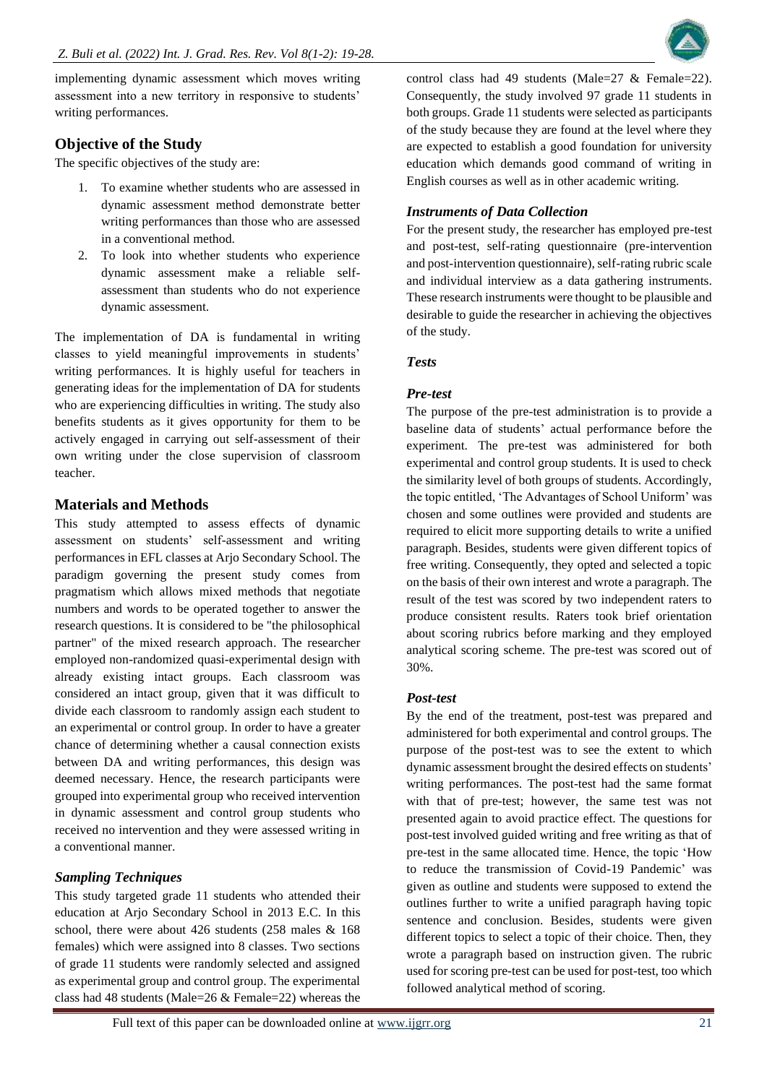implementing dynamic assessment which moves writing assessment into a new territory in responsive to students' writing performances.

# **Objective of the Study**

The specific objectives of the study are:

- 1. To examine whether students who are assessed in dynamic assessment method demonstrate better writing performances than those who are assessed in a conventional method.
- 2. To look into whether students who experience dynamic assessment make a reliable selfassessment than students who do not experience dynamic assessment.

The implementation of DA is fundamental in writing classes to yield meaningful improvements in students' writing performances. It is highly useful for teachers in generating ideas for the implementation of DA for students who are experiencing difficulties in writing. The study also benefits students as it gives opportunity for them to be actively engaged in carrying out self-assessment of their own writing under the close supervision of classroom teacher.

# **Materials and Methods**

This study attempted to assess effects of dynamic assessment on students' self-assessment and writing performances in EFL classes at Arjo Secondary School. The paradigm governing the present study comes from pragmatism which allows mixed methods that negotiate numbers and words to be operated together to answer the research questions. It is considered to be "the philosophical partner" of the mixed research approach. The researcher employed non-randomized quasi-experimental design with already existing intact groups. Each classroom was considered an intact group, given that it was difficult to divide each classroom to randomly assign each student to an experimental or control group. In order to have a greater chance of determining whether a causal connection exists between DA and writing performances, this design was deemed necessary. Hence, the research participants were grouped into experimental group who received intervention in dynamic assessment and control group students who received no intervention and they were assessed writing in a conventional manner.

# *Sampling Techniques*

This study targeted grade 11 students who attended their education at Arjo Secondary School in 2013 E.C. In this school, there were about 426 students (258 males & 168 females) which were assigned into 8 classes. Two sections of grade 11 students were randomly selected and assigned as experimental group and control group. The experimental class had 48 students (Male=26 & Female=22) whereas the



# *Instruments of Data Collection*

For the present study, the researcher has employed pre-test and post-test, self-rating questionnaire (pre-intervention and post-intervention questionnaire), self-rating rubric scale and individual interview as a data gathering instruments. These research instruments were thought to be plausible and desirable to guide the researcher in achieving the objectives of the study.

### *Tests*

#### *Pre-test*

The purpose of the pre-test administration is to provide a baseline data of students' actual performance before the experiment. The pre-test was administered for both experimental and control group students. It is used to check the similarity level of both groups of students. Accordingly, the topic entitled, 'The Advantages of School Uniform' was chosen and some outlines were provided and students are required to elicit more supporting details to write a unified paragraph. Besides, students were given different topics of free writing. Consequently, they opted and selected a topic on the basis of their own interest and wrote a paragraph. The result of the test was scored by two independent raters to produce consistent results. Raters took brief orientation about scoring rubrics before marking and they employed analytical scoring scheme. The pre-test was scored out of 30%.

#### *Post-test*

By the end of the treatment, post-test was prepared and administered for both experimental and control groups. The purpose of the post-test was to see the extent to which dynamic assessment brought the desired effects on students' writing performances. The post-test had the same format with that of pre-test; however, the same test was not presented again to avoid practice effect. The questions for post-test involved guided writing and free writing as that of pre-test in the same allocated time. Hence, the topic 'How to reduce the transmission of Covid-19 Pandemic' was given as outline and students were supposed to extend the outlines further to write a unified paragraph having topic sentence and conclusion. Besides, students were given different topics to select a topic of their choice. Then, they wrote a paragraph based on instruction given. The rubric used for scoring pre-test can be used for post-test, too which followed analytical method of scoring.

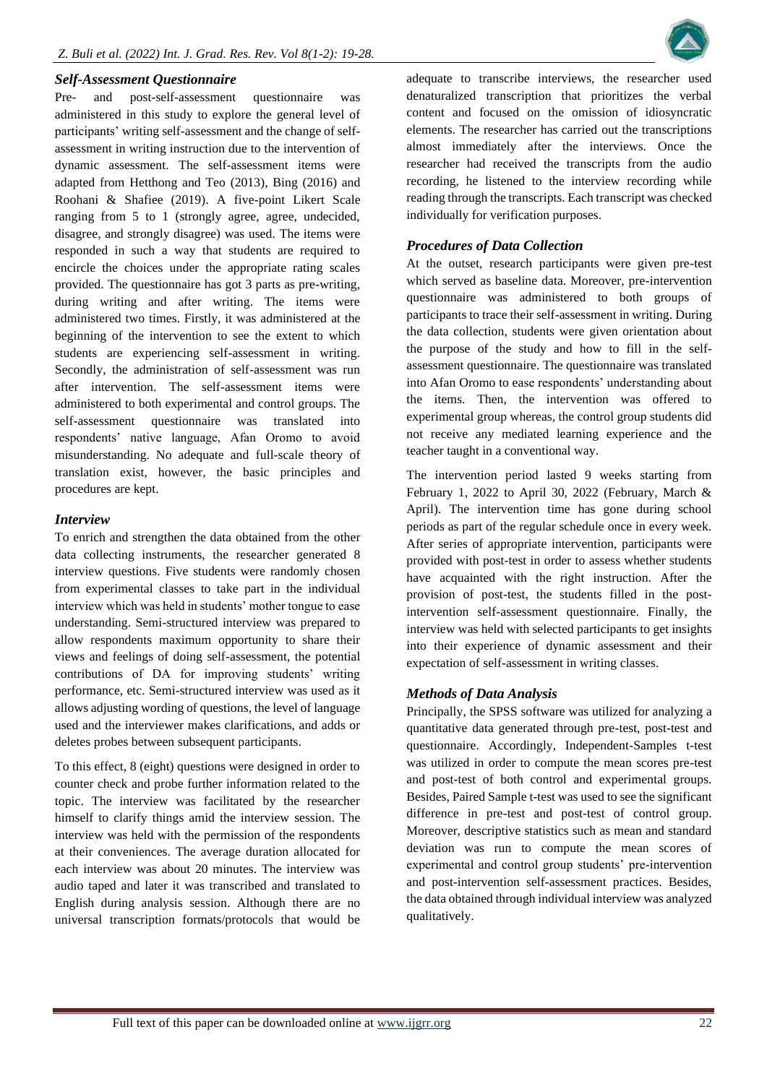#### *Self-Assessment Questionnaire*

Pre- and post-self-assessment questionnaire was administered in this study to explore the general level of participants' writing self-assessment and the change of selfassessment in writing instruction due to the intervention of dynamic assessment. The self-assessment items were adapted from Hetthong and Teo (2013), Bing (2016) and Roohani & Shafiee (2019). A five-point Likert Scale ranging from 5 to 1 (strongly agree, agree, undecided, disagree, and strongly disagree) was used. The items were responded in such a way that students are required to encircle the choices under the appropriate rating scales provided. The questionnaire has got 3 parts as pre-writing, during writing and after writing. The items were administered two times. Firstly, it was administered at the beginning of the intervention to see the extent to which students are experiencing self-assessment in writing. Secondly, the administration of self-assessment was run after intervention. The self-assessment items were administered to both experimental and control groups. The self-assessment questionnaire was translated into respondents' native language, Afan Oromo to avoid misunderstanding. No adequate and full-scale theory of translation exist, however, the basic principles and procedures are kept.

#### *Interview*

To enrich and strengthen the data obtained from the other data collecting instruments, the researcher generated 8 interview questions. Five students were randomly chosen from experimental classes to take part in the individual interview which was held in students' mother tongue to ease understanding. Semi-structured interview was prepared to allow respondents maximum opportunity to share their views and feelings of doing self-assessment, the potential contributions of DA for improving students' writing performance, etc. Semi-structured interview was used as it allows adjusting wording of questions, the level of language used and the interviewer makes clarifications, and adds or deletes probes between subsequent participants.

To this effect, 8 (eight) questions were designed in order to counter check and probe further information related to the topic. The interview was facilitated by the researcher himself to clarify things amid the interview session. The interview was held with the permission of the respondents at their conveniences. The average duration allocated for each interview was about 20 minutes. The interview was audio taped and later it was transcribed and translated to English during analysis session. Although there are no universal transcription formats/protocols that would be



#### *Procedures of Data Collection*

At the outset, research participants were given pre-test which served as baseline data. Moreover, pre-intervention questionnaire was administered to both groups of participants to trace their self-assessment in writing. During the data collection, students were given orientation about the purpose of the study and how to fill in the selfassessment questionnaire. The questionnaire was translated into Afan Oromo to ease respondents' understanding about the items. Then, the intervention was offered to experimental group whereas, the control group students did not receive any mediated learning experience and the teacher taught in a conventional way.

The intervention period lasted 9 weeks starting from February 1, 2022 to April 30, 2022 (February, March & April). The intervention time has gone during school periods as part of the regular schedule once in every week. After series of appropriate intervention, participants were provided with post-test in order to assess whether students have acquainted with the right instruction. After the provision of post-test, the students filled in the postintervention self-assessment questionnaire. Finally, the interview was held with selected participants to get insights into their experience of dynamic assessment and their expectation of self-assessment in writing classes.

#### *Methods of Data Analysis*

Principally, the SPSS software was utilized for analyzing a quantitative data generated through pre-test, post-test and questionnaire. Accordingly, Independent-Samples t-test was utilized in order to compute the mean scores pre-test and post-test of both control and experimental groups. Besides, Paired Sample t-test was used to see the significant difference in pre-test and post-test of control group. Moreover, descriptive statistics such as mean and standard deviation was run to compute the mean scores of experimental and control group students' pre-intervention and post-intervention self-assessment practices. Besides, the data obtained through individual interview was analyzed qualitatively.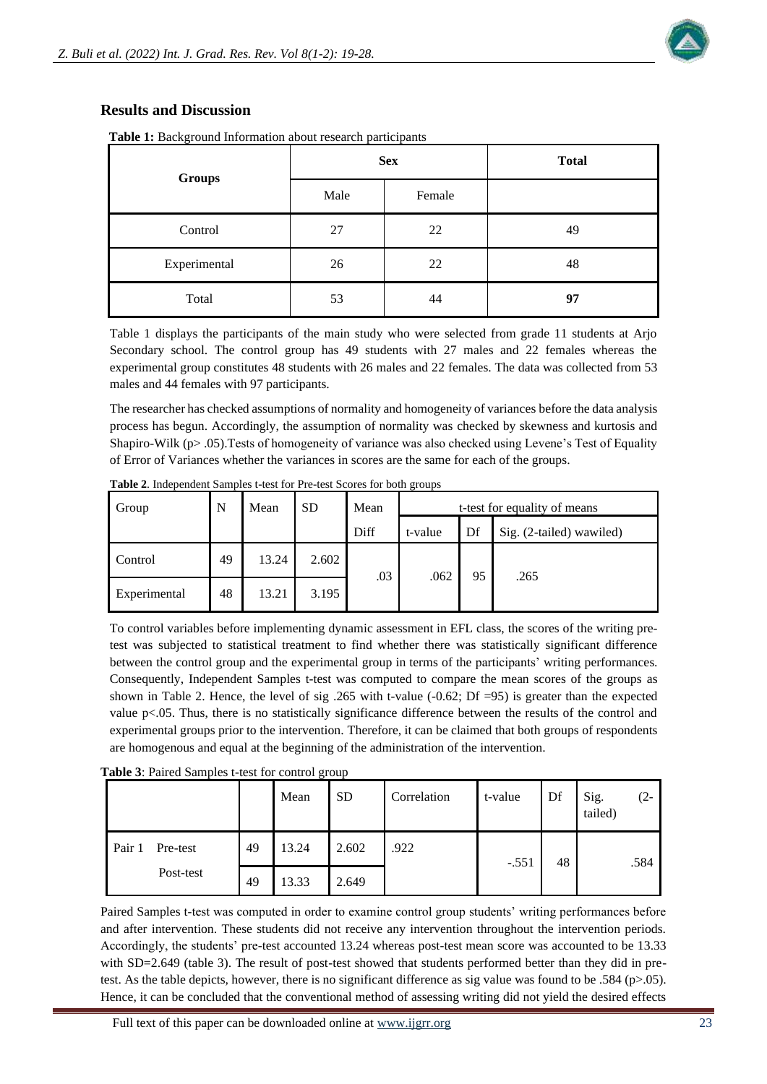# **Results and Discussion**

**Table 1:** Background Information about research participants

| <b>Groups</b> |      | <b>Sex</b> | <b>Total</b> |  |  |
|---------------|------|------------|--------------|--|--|
|               | Male | Female     |              |  |  |
| Control       | 27   | 22         | 49           |  |  |
| Experimental  | 26   | 22         | 48           |  |  |
| Total         | 53   | 44         | 97           |  |  |

Table 1 displays the participants of the main study who were selected from grade 11 students at Arjo Secondary school. The control group has 49 students with 27 males and 22 females whereas the experimental group constitutes 48 students with 26 males and 22 females. The data was collected from 53 males and 44 females with 97 participants.

The researcher has checked assumptions of normality and homogeneity of variances before the data analysis process has begun. Accordingly, the assumption of normality was checked by skewness and kurtosis and Shapiro-Wilk (p> .05).Tests of homogeneity of variance was also checked using Levene's Test of Equality of Error of Variances whether the variances in scores are the same for each of the groups.

| Group        | N  | Mean  | <b>SD</b> | Mean | t-test for equality of means |    |                          |  |
|--------------|----|-------|-----------|------|------------------------------|----|--------------------------|--|
|              |    |       |           | Diff | t-value                      | Df | Sig. (2-tailed) wawiled) |  |
| Control      | 49 | 13.24 | 2.602     | .03  |                              | 95 | .265                     |  |
| Experimental | 48 | 13.21 | 3.195     |      | .062                         |    |                          |  |

**Table 2**. Independent Samples t-test for Pre-test Scores for both groups

To control variables before implementing dynamic assessment in EFL class, the scores of the writing pretest was subjected to statistical treatment to find whether there was statistically significant difference between the control group and the experimental group in terms of the participants' writing performances. Consequently, Independent Samples t-test was computed to compare the mean scores of the groups as shown in Table 2. Hence, the level of sig .265 with t-value (-0.62; Df =95) is greater than the expected value p<.05. Thus, there is no statistically significance difference between the results of the control and experimental groups prior to the intervention. Therefore, it can be claimed that both groups of respondents are homogenous and equal at the beginning of the administration of the intervention.

|  | Table 3: Paired Samples t-test for control group |  |
|--|--------------------------------------------------|--|
|  |                                                  |  |

|                    |    | Mean  | <b>SD</b> | Correlation | t-value | Df | Sig.<br>tailed) | (2-  |
|--------------------|----|-------|-----------|-------------|---------|----|-----------------|------|
| Pair 1<br>Pre-test | 49 | 13.24 | 2.602     | .922        | $-.551$ | 48 |                 | .584 |
| Post-test          | 49 | 13.33 | 2.649     |             |         |    |                 |      |

Paired Samples t-test was computed in order to examine control group students' writing performances before and after intervention. These students did not receive any intervention throughout the intervention periods. Accordingly, the students' pre-test accounted 13.24 whereas post-test mean score was accounted to be 13.33 with SD=2.649 (table 3). The result of post-test showed that students performed better than they did in pretest. As the table depicts, however, there is no significant difference as sig value was found to be .584 ( $p>05$ ). Hence, it can be concluded that the conventional method of assessing writing did not yield the desired effects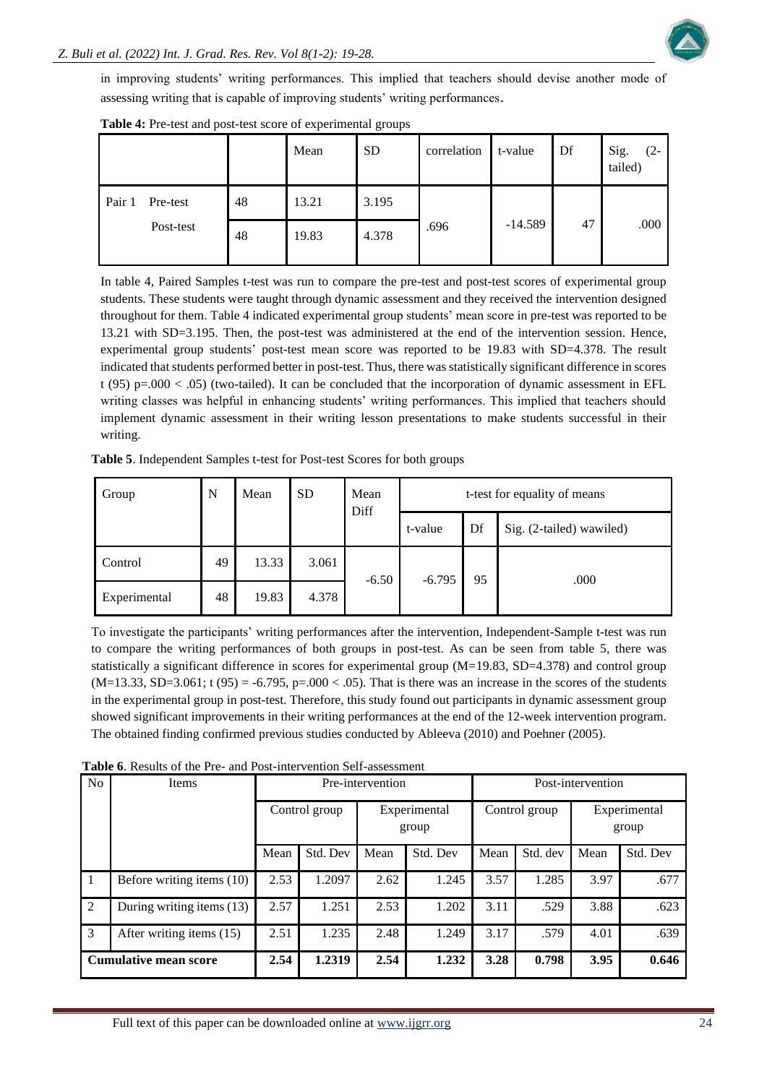

in improving students' writing performances. This implied that teachers should devise another mode of assessing writing that is capable of improving students' writing performances.

|        |           |    | Mean  | <b>SD</b> | correlation | t-value   | Df | Sig.<br>(2-<br>tailed) |
|--------|-----------|----|-------|-----------|-------------|-----------|----|------------------------|
| Pair 1 | Pre-test  | 48 | 13.21 | 3.195     |             | $-14.589$ | 47 | .000                   |
|        | Post-test | 48 | 19.83 | 4.378     | .696        |           |    |                        |

**Table 4:** Pre-test and post-test score of experimental groups

In table 4, Paired Samples t-test was run to compare the pre-test and post-test scores of experimental group students. These students were taught through dynamic assessment and they received the intervention designed throughout for them. Table 4 indicated experimental group students' mean score in pre-test was reported to be 13.21 with SD=3.195. Then, the post-test was administered at the end of the intervention session. Hence, experimental group students' post-test mean score was reported to be 19.83 with SD=4.378. The result indicated that students performed better in post-test. Thus, there was statistically significant difference in scores t (95) p=.000  $<$  .05) (two-tailed). It can be concluded that the incorporation of dynamic assessment in EFL writing classes was helpful in enhancing students' writing performances. This implied that teachers should implement dynamic assessment in their writing lesson presentations to make students successful in their writing.

| Group   | N  | Mean  | <b>SD</b> | Mean<br>Diff | t-test for equality of means |    |                          |  |  |
|---------|----|-------|-----------|--------------|------------------------------|----|--------------------------|--|--|
|         |    |       |           |              | t-value                      | Df | Sig. (2-tailed) wawiled) |  |  |
| Control | 49 | 13.33 | 3.061     |              |                              |    |                          |  |  |

**Table 5**. Independent Samples t-test for Post-test Scores for both groups

To investigate the participants' writing performances after the intervention, Independent-Sample t-test was run to compare the writing performances of both groups in post-test. As can be seen from table 5, there was statistically a significant difference in scores for experimental group (M=19.83, SD=4.378) and control group  $(M=13.33, SD=3.061; t (95) = -6.795, p=.000 < .05)$ . That is there was an increase in the scores of the students in the experimental group in post-test. Therefore, this study found out participants in dynamic assessment group showed significant improvements in their writing performances at the end of the 12-week intervention program. The obtained finding confirmed previous studies conducted by Ableeva (2010) and Poehner (2005).

 $-6.50$   $-6.795$   $95$  .000

|                | <b>Table 6.</b> Results of the Pre- and Post-intervention Self-assessment |                  |          |                       |          |      |                   |                       |          |  |  |  |
|----------------|---------------------------------------------------------------------------|------------------|----------|-----------------------|----------|------|-------------------|-----------------------|----------|--|--|--|
| N <sub>o</sub> | Items                                                                     | Pre-intervention |          |                       |          |      | Post-intervention |                       |          |  |  |  |
|                |                                                                           | Control group    |          | Experimental<br>group |          |      | Control group     | Experimental<br>group |          |  |  |  |
|                |                                                                           | Mean             | Std. Dev | Mean                  | Std. Dev | Mean | Std. dev          | Mean                  | Std. Dev |  |  |  |
| $\overline{1}$ | Before writing items (10)                                                 | 2.53             | 1.2097   | 2.62                  | 1.245    | 3.57 | 1.285             | 3.97                  | .677     |  |  |  |
| 2              | During writing items (13)                                                 | 2.57             | 1.251    | 2.53                  | 1.202    | 3.11 | .529              | 3.88                  | .623     |  |  |  |
| $\mathcal{E}$  | After writing items (15)                                                  | 2.51             | 1.235    | 2.48                  | 1.249    | 3.17 | .579              | 4.01                  | .639     |  |  |  |
|                | <b>Cumulative mean score</b>                                              | 2.54             | 1.2319   | 2.54                  | 1.232    | 3.28 | 0.798             | 3.95                  | 0.646    |  |  |  |
|                |                                                                           |                  |          |                       |          |      |                   |                       |          |  |  |  |

Experimental 48 19.83 4.378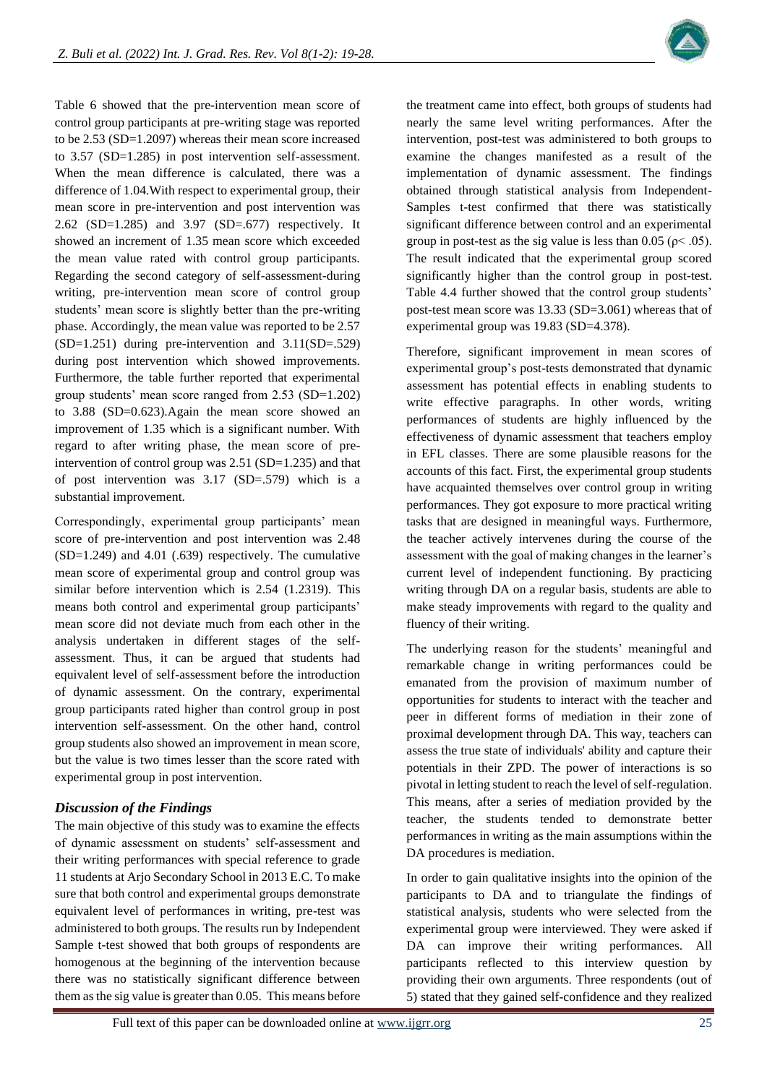

Table 6 showed that the pre-intervention mean score of control group participants at pre-writing stage was reported to be 2.53 (SD=1.2097) whereas their mean score increased to 3.57 (SD=1.285) in post intervention self-assessment. When the mean difference is calculated, there was a difference of 1.04.With respect to experimental group, their mean score in pre-intervention and post intervention was 2.62 (SD=1.285) and 3.97 (SD=.677) respectively. It showed an increment of 1.35 mean score which exceeded the mean value rated with control group participants. Regarding the second category of self-assessment-during writing, pre-intervention mean score of control group students' mean score is slightly better than the pre-writing phase. Accordingly, the mean value was reported to be 2.57 (SD=1.251) during pre-intervention and 3.11(SD=.529) during post intervention which showed improvements. Furthermore, the table further reported that experimental group students' mean score ranged from 2.53 (SD=1.202) to 3.88 (SD=0.623).Again the mean score showed an improvement of 1.35 which is a significant number. With regard to after writing phase, the mean score of preintervention of control group was 2.51 (SD=1.235) and that of post intervention was 3.17 (SD=.579) which is a substantial improvement.

Correspondingly, experimental group participants' mean score of pre-intervention and post intervention was 2.48 (SD=1.249) and 4.01 (.639) respectively. The cumulative mean score of experimental group and control group was similar before intervention which is 2.54 (1.2319). This means both control and experimental group participants' mean score did not deviate much from each other in the analysis undertaken in different stages of the selfassessment. Thus, it can be argued that students had equivalent level of self-assessment before the introduction of dynamic assessment. On the contrary, experimental group participants rated higher than control group in post intervention self-assessment. On the other hand, control group students also showed an improvement in mean score, but the value is two times lesser than the score rated with experimental group in post intervention.

# *Discussion of the Findings*

The main objective of this study was to examine the effects of dynamic assessment on students' self-assessment and their writing performances with special reference to grade 11 students at Arjo Secondary School in 2013 E.C. To make sure that both control and experimental groups demonstrate equivalent level of performances in writing, pre-test was administered to both groups. The results run by Independent Sample t-test showed that both groups of respondents are homogenous at the beginning of the intervention because there was no statistically significant difference between them as the sig value is greater than 0.05. This means before

the treatment came into effect, both groups of students had nearly the same level writing performances. After the intervention, post-test was administered to both groups to examine the changes manifested as a result of the implementation of dynamic assessment. The findings obtained through statistical analysis from Independent-Samples t-test confirmed that there was statistically significant difference between control and an experimental group in post-test as the sig value is less than 0.05 ( $\rho$  < .05). The result indicated that the experimental group scored significantly higher than the control group in post-test. Table 4.4 further showed that the control group students' post-test mean score was 13.33 (SD=3.061) whereas that of experimental group was 19.83 (SD=4.378).

Therefore, significant improvement in mean scores of experimental group's post-tests demonstrated that dynamic assessment has potential effects in enabling students to write effective paragraphs. In other words, writing performances of students are highly influenced by the effectiveness of dynamic assessment that teachers employ in EFL classes. There are some plausible reasons for the accounts of this fact. First, the experimental group students have acquainted themselves over control group in writing performances. They got exposure to more practical writing tasks that are designed in meaningful ways. Furthermore, the teacher actively intervenes during the course of the assessment with the goal of making changes in the learner's current level of independent functioning. By practicing writing through DA on a regular basis, students are able to make steady improvements with regard to the quality and fluency of their writing.

The underlying reason for the students' meaningful and remarkable change in writing performances could be emanated from the provision of maximum number of opportunities for students to interact with the teacher and peer in different forms of mediation in their zone of proximal development through DA. This way, teachers can assess the true state of individuals' ability and capture their potentials in their ZPD. The power of interactions is so pivotal in letting student to reach the level of self-regulation. This means, after a series of mediation provided by the teacher, the students tended to demonstrate better performances in writing as the main assumptions within the DA procedures is mediation.

In order to gain qualitative insights into the opinion of the participants to DA and to triangulate the findings of statistical analysis, students who were selected from the experimental group were interviewed. They were asked if DA can improve their writing performances. All participants reflected to this interview question by providing their own arguments. Three respondents (out of 5) stated that they gained self-confidence and they realized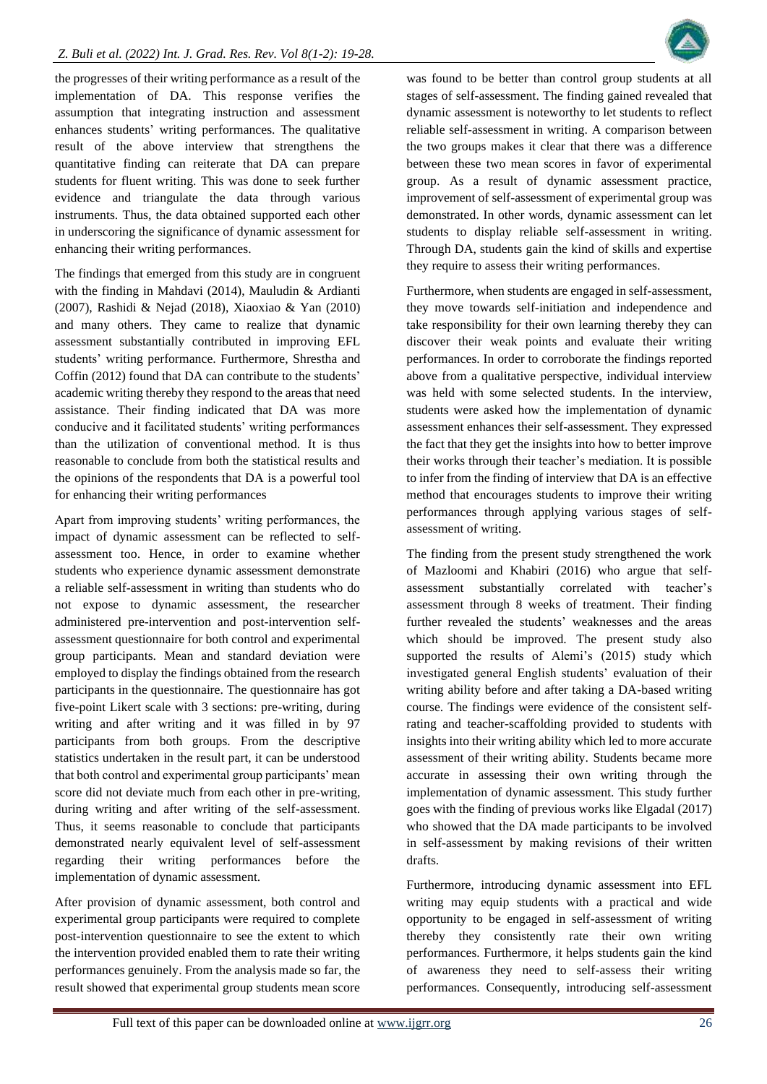the progresses of their writing performance as a result of the implementation of DA. This response verifies the assumption that integrating instruction and assessment enhances students' writing performances. The qualitative result of the above interview that strengthens the quantitative finding can reiterate that DA can prepare students for fluent writing. This was done to seek further evidence and triangulate the data through various instruments. Thus, the data obtained supported each other in underscoring the significance of dynamic assessment for enhancing their writing performances.

The findings that emerged from this study are in congruent with the finding in Mahdavi (2014), Mauludin & Ardianti (2007), Rashidi & Nejad (2018), Xiaoxiao & Yan (2010) and many others. They came to realize that dynamic assessment substantially contributed in improving EFL students' writing performance. Furthermore, Shrestha and Coffin (2012) found that DA can contribute to the students' academic writing thereby they respond to the areas that need assistance. Their finding indicated that DA was more conducive and it facilitated students' writing performances than the utilization of conventional method. It is thus reasonable to conclude from both the statistical results and the opinions of the respondents that DA is a powerful tool for enhancing their writing performances

Apart from improving students' writing performances, the impact of dynamic assessment can be reflected to selfassessment too. Hence, in order to examine whether students who experience dynamic assessment demonstrate a reliable self-assessment in writing than students who do not expose to dynamic assessment, the researcher administered pre-intervention and post-intervention selfassessment questionnaire for both control and experimental group participants. Mean and standard deviation were employed to display the findings obtained from the research participants in the questionnaire. The questionnaire has got five-point Likert scale with 3 sections: pre-writing, during writing and after writing and it was filled in by 97 participants from both groups. From the descriptive statistics undertaken in the result part, it can be understood that both control and experimental group participants' mean score did not deviate much from each other in pre-writing, during writing and after writing of the self-assessment. Thus, it seems reasonable to conclude that participants demonstrated nearly equivalent level of self-assessment regarding their writing performances before the implementation of dynamic assessment.

After provision of dynamic assessment, both control and experimental group participants were required to complete post-intervention questionnaire to see the extent to which the intervention provided enabled them to rate their writing performances genuinely. From the analysis made so far, the result showed that experimental group students mean score

was found to be better than control group students at all stages of self-assessment. The finding gained revealed that dynamic assessment is noteworthy to let students to reflect reliable self-assessment in writing. A comparison between the two groups makes it clear that there was a difference between these two mean scores in favor of experimental group. As a result of dynamic assessment practice, improvement of self-assessment of experimental group was demonstrated. In other words, dynamic assessment can let students to display reliable self-assessment in writing. Through DA, students gain the kind of skills and expertise they require to assess their writing performances.

Furthermore, when students are engaged in self-assessment, they move towards self-initiation and independence and take responsibility for their own learning thereby they can discover their weak points and evaluate their writing performances. In order to corroborate the findings reported above from a qualitative perspective, individual interview was held with some selected students. In the interview, students were asked how the implementation of dynamic assessment enhances their self-assessment. They expressed the fact that they get the insights into how to better improve their works through their teacher's mediation. It is possible to infer from the finding of interview that DA is an effective method that encourages students to improve their writing performances through applying various stages of selfassessment of writing.

The finding from the present study strengthened the work of Mazloomi and Khabiri (2016) who argue that selfassessment substantially correlated with teacher's assessment through 8 weeks of treatment. Their finding further revealed the students' weaknesses and the areas which should be improved. The present study also supported the results of Alemi's (2015) study which investigated general English students' evaluation of their writing ability before and after taking a DA-based writing course. The findings were evidence of the consistent selfrating and teacher-scaffolding provided to students with insights into their writing ability which led to more accurate assessment of their writing ability. Students became more accurate in assessing their own writing through the implementation of dynamic assessment. This study further goes with the finding of previous works like Elgadal (2017) who showed that the DA made participants to be involved in self-assessment by making revisions of their written drafts.

Furthermore, introducing dynamic assessment into EFL writing may equip students with a practical and wide opportunity to be engaged in self-assessment of writing thereby they consistently rate their own writing performances. Furthermore, it helps students gain the kind of awareness they need to self-assess their writing performances. Consequently, introducing self-assessment

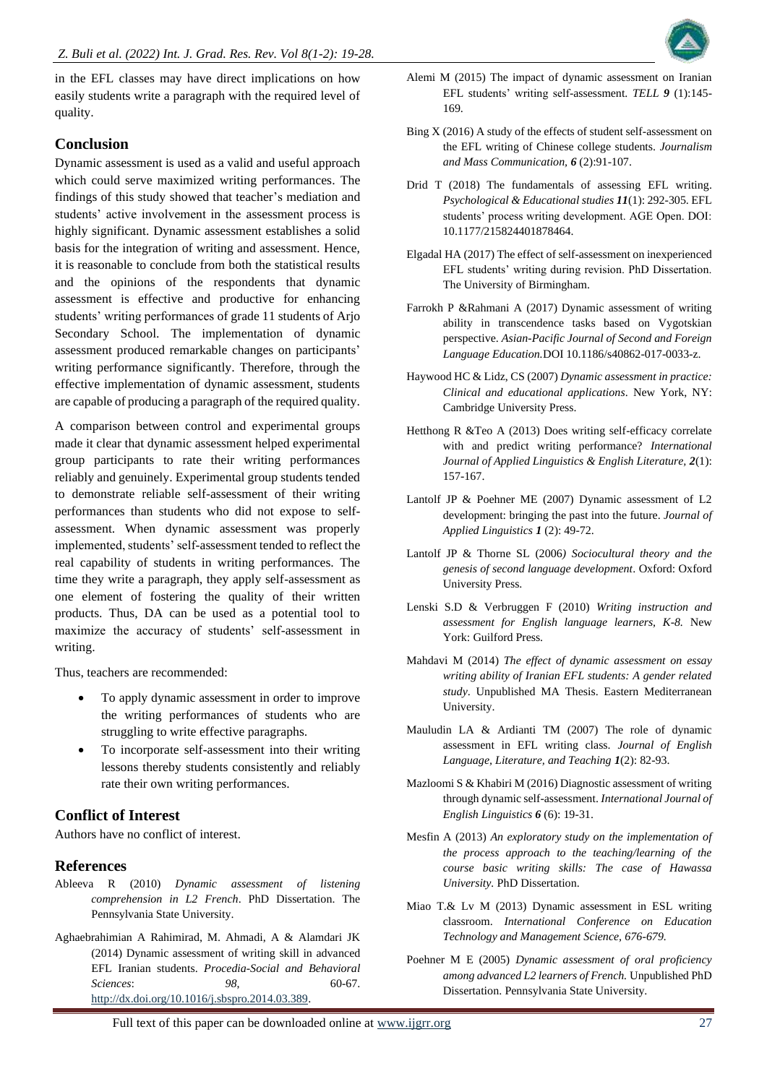in the EFL classes may have direct implications on how easily students write a paragraph with the required level of quality.

# **Conclusion**

Dynamic assessment is used as a valid and useful approach which could serve maximized writing performances. The findings of this study showed that teacher's mediation and students' active involvement in the assessment process is highly significant. Dynamic assessment establishes a solid basis for the integration of writing and assessment. Hence, it is reasonable to conclude from both the statistical results and the opinions of the respondents that dynamic assessment is effective and productive for enhancing students' writing performances of grade 11 students of Arjo Secondary School. The implementation of dynamic assessment produced remarkable changes on participants' writing performance significantly. Therefore, through the effective implementation of dynamic assessment, students are capable of producing a paragraph of the required quality.

A comparison between control and experimental groups made it clear that dynamic assessment helped experimental group participants to rate their writing performances reliably and genuinely. Experimental group students tended to demonstrate reliable self-assessment of their writing performances than students who did not expose to selfassessment. When dynamic assessment was properly implemented, students' self-assessment tended to reflect the real capability of students in writing performances. The time they write a paragraph, they apply self-assessment as one element of fostering the quality of their written products. Thus, DA can be used as a potential tool to maximize the accuracy of students' self-assessment in writing.

Thus, teachers are recommended:

- To apply dynamic assessment in order to improve the writing performances of students who are struggling to write effective paragraphs.
- To incorporate self-assessment into their writing lessons thereby students consistently and reliably rate their own writing performances.

# **Conflict of Interest**

Authors have no conflict of interest.

# **References**

- Ableeva R (2010) *Dynamic assessment of listening comprehension in L2 French*. PhD Dissertation. The Pennsylvania State University.
- Aghaebrahimian A Rahimirad, M. Ahmadi, A & Alamdari JK (2014) Dynamic assessment of writing skill in advanced EFL Iranian students. *Procedia-Social and Behavioral Sciences*: *98*, 60-67. [http://dx.doi.org/10.1016/j.sbspro.2014.03.389.](http://dx.doi.org/10.1016/j.sbspro.2014.03.389)



- Bing X (2016) A study of the effects of student self-assessment on the EFL writing of Chinese college students. *Journalism and Mass Communication, 6* (2):91-107.
- Drid T (2018) The fundamentals of assessing EFL writing. *Psychological & Educational studies 11*(1): 292-305. EFL students' process writing development. AGE Open. DOI: 10.1177/215824401878464.
- Elgadal HA (2017) The effect of self-assessment on inexperienced EFL students' writing during revision. PhD Dissertation. The University of Birmingham.
- Farrokh P &Rahmani A (2017) Dynamic assessment of writing ability in transcendence tasks based on Vygotskian perspective. *Asian-Pacific Journal of Second and Foreign Language Education.*DOI 10.1186/s40862-017-0033-z.
- Haywood HC & Lidz, CS (2007) *Dynamic assessment in practice: Clinical and educational applications*. New York, NY: Cambridge University Press.
- Hetthong R &Teo A (2013) Does writing self-efficacy correlate with and predict writing performance? *International Journal of Applied Linguistics & English Literature, 2*(1): 157-167.
- Lantolf JP & Poehner ME (2007) Dynamic assessment of L2 development: bringing the past into the future. *Journal of Applied Linguistics 1* (2): 49-72.
- Lantolf JP & Thorne SL (2006*) Sociocultural theory and the genesis of second language development*. Oxford: Oxford University Press.
- Lenski S.D & Verbruggen F (2010) *Writing instruction and assessment for English language learners, K-8.* New York: Guilford Press.
- Mahdavi M (2014) *The effect of dynamic assessment on essay writing ability of Iranian EFL students: A gender related study*. Unpublished MA Thesis. Eastern Mediterranean University.
- Mauludin LA & Ardianti TM (2007) The role of dynamic assessment in EFL writing class. *Journal of English Language, Literature, and Teaching 1*(2): 82-93.
- Mazloomi S & Khabiri M (2016) Diagnostic assessment of writing through dynamic self-assessment. *International Journal of English Linguistics 6* (6): 19-31.
- Mesfin A (2013) *An exploratory study on the implementation of the process approach to the teaching/learning of the course basic writing skills: The case of Hawassa University.* PhD Dissertation.
- Miao T.& Lv M (2013) Dynamic assessment in ESL writing classroom. *International Conference on Education Technology and Management Science, 676-679.*
- Poehner M E (2005) *Dynamic assessment of oral proficiency among advanced L2 learners of French.* Unpublished PhD Dissertation. Pennsylvania State University.